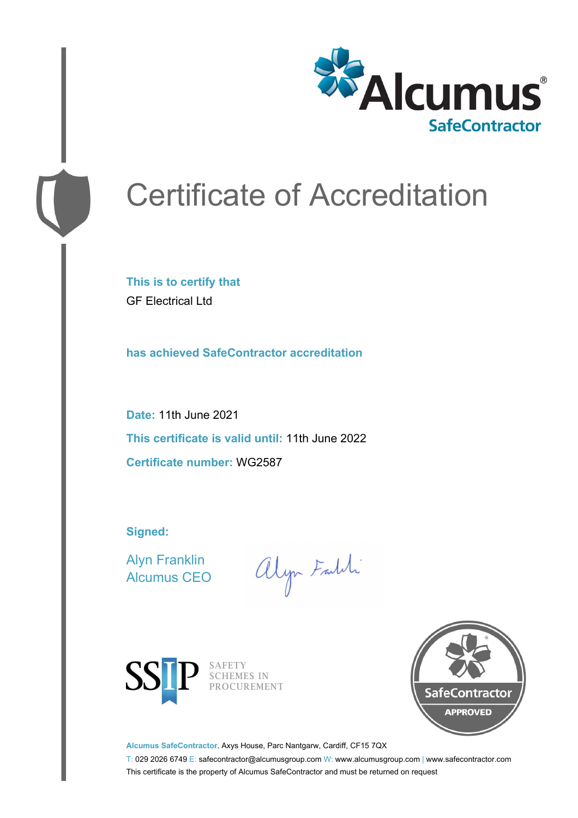

# Certificate of Accreditation

**This is to certify that** GF Electrical Ltd

**has achieved SafeContractor accreditation**

**Date:** 11th June 2021 **This certificate is valid until:** 11th June 2022 **Certificate number:** WG2587

**Signed:**

Alyn Franklin Alcumus CEO

alyn Faith



SAFETY<br>SCHEMES IN PROCUREMENT



**Alcumus SafeContractor,** Axys House, Parc Nantgarw, Cardiff, CF15 7QX

T: 029 2026 6749 E: safecontractor@alcumusgroup.com W: www.alcumusgroup.com | www.safecontractor.com This certificate is the property of Alcumus SafeContractor and must be returned on request